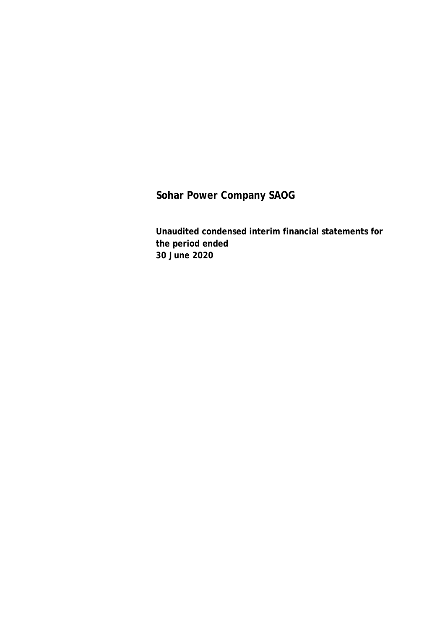**Unaudited condensed interim financial statements for the period ended 30 June 2020**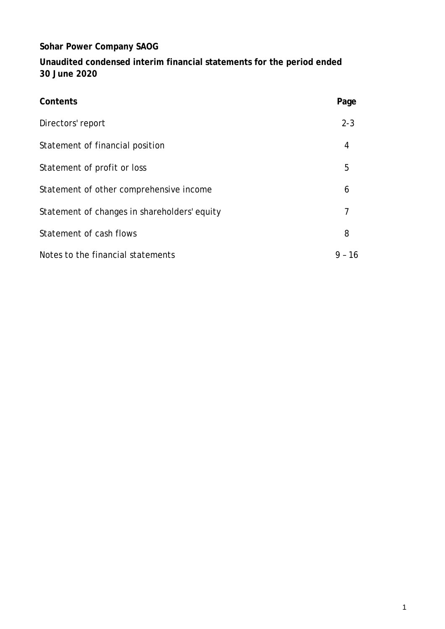**Unaudited condensed interim financial statements for the period ended 30 June 2020**

| Contents                                     | Page         |
|----------------------------------------------|--------------|
| Directors' report                            | $2 - 3$      |
| Statement of financial position              | 4            |
| Statement of profit or loss                  | 5            |
| Statement of other comprehensive income      | 6            |
| Statement of changes in shareholders' equity | 7            |
| Statement of cash flows                      | 8            |
| Notes to the financial statements            | -16<br>$9 -$ |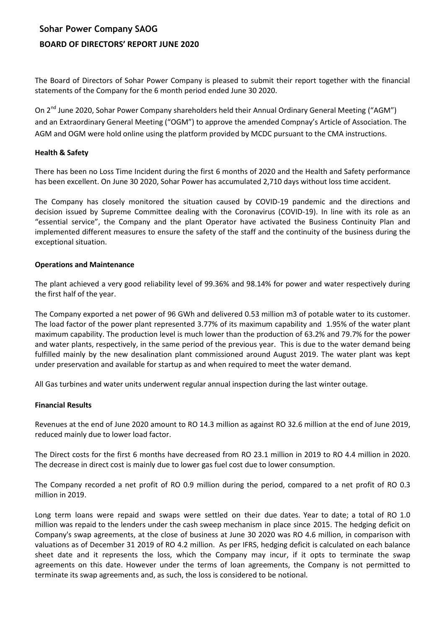# **Sohar Power Company SAOG BOARD OF DIRECTORS' REPORT JUNE 2020**

The Board of Directors of Sohar Power Company is pleased to submit their report together with the financial statements of the Company for the 6 month period ended June 30 2020.

On 2<sup>nd</sup> June 2020, Sohar Power Company shareholders held their Annual Ordinary General Meeting ("AGM") and an Extraordinary General Meeting ("OGM") to approve the amended Compnay's Article of Association. The AGM and OGM were hold online using the platform provided by MCDC pursuant to the CMA instructions.

#### **Health & Safety**

There has been no Loss Time Incident during the first 6 months of 2020 and the Health and Safety performance has been excellent. On June 30 2020, Sohar Power has accumulated 2,710 days without loss time accident.

The Company has closely monitored the situation caused by COVID-19 pandemic and the directions and decision issued by Supreme Committee dealing with the Coronavirus (COVID-19). In line with its role as an "essential service", the Company and the plant Operator have activated the Business Continuity Plan and implemented different measures to ensure the safety of the staff and the continuity of the business during the exceptional situation.

#### **Operations and Maintenance**

The plant achieved a very good reliability level of 99.36% and 98.14% for power and water respectively during the first half of the year.

The Company exported a net power of 96 GWh and delivered 0.53 million m3 of potable water to its customer. The load factor of the power plant represented 3.77% of its maximum capability and 1.95% of the water plant maximum capability. The production level is much lower than the production of 63.2% and 79.7% for the power and water plants, respectively, in the same period of the previous year. This is due to the water demand being fulfilled mainly by the new desalination plant commissioned around August 2019. The water plant was kept under preservation and available for startup as and when required to meet the water demand.

All Gas turbines and water units underwent regular annual inspection during the last winter outage.

#### **Financial Results**

Revenues at the end of June 2020 amount to RO 14.3 million as against RO 32.6 million at the end of June 2019, reduced mainly due to lower load factor.

The Direct costs for the first 6 months have decreased from RO 23.1 million in 2019 to RO 4.4 million in 2020. The decrease in direct cost is mainly due to lower gas fuel cost due to lower consumption.

The Company recorded a net profit of RO 0.9 million during the period, compared to a net profit of RO 0.3 million in 2019.

Long term loans were repaid and swaps were settled on their due dates. Year to date; a total of RO 1.0 million was repaid to the lenders under the cash sweep mechanism in place since 2015. The hedging deficit on Company's swap agreements, at the close of business at June 30 2020 was RO 4.6 million, in comparison with valuations as of December 31 2019 of RO 4.2 million. As per IFRS, hedging deficit is calculated on each balance sheet date and it represents the loss, which the Company may incur, if it opts to terminate the swap agreements on this date. However under the terms of loan agreements, the Company is not permitted to terminate its swap agreements and, as such, the loss is considered to be notional.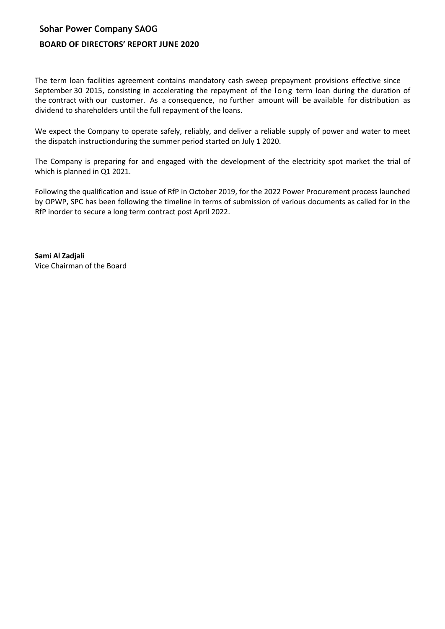# **Sohar Power Company SAOG BOARD OF DIRECTORS' REPORT JUNE 2020**

The term loan facilities agreement contains mandatory cash sweep prepayment provisions effective since September 30 2015, consisting in accelerating the repayment of the long term loan during the duration of the contract with our customer. As a consequence, no further amount will be available for distribution as dividend to shareholders until the full repayment of the loans.

We expect the Company to operate safely, reliably, and deliver a reliable supply of power and water to meet the dispatch instructionduring the summer period started on July 1 2020.

The Company is preparing for and engaged with the development of the electricity spot market the trial of which is planned in Q1 2021.

Following the qualification and issue of RfP in October 2019, for the 2022 Power Procurement process launched by OPWP, SPC has been following the timeline in terms of submission of various documents as called for in the RfP inorder to secure a long term contract post April 2022.

**Sami Al Zadjali** Vice Chairman of the Board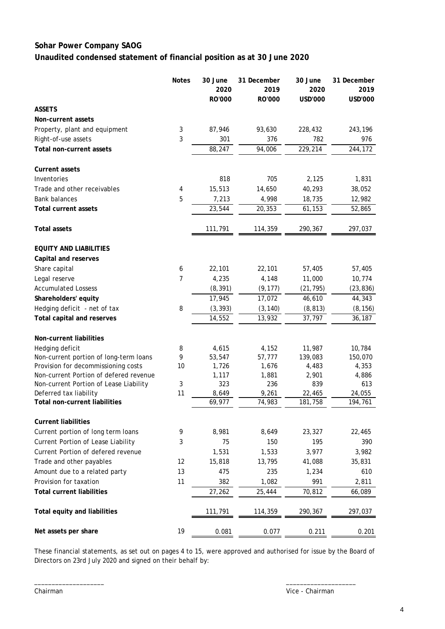## **Sohar Power Company SAOG Unaudited condensed statement of financial position as at 30 June 2020**

|                                        | <b>Notes</b> | 30 June<br>2020 | 31 December<br>2019 | 30 June<br>2020 | 31 December<br>2019 |
|----------------------------------------|--------------|-----------------|---------------------|-----------------|---------------------|
|                                        |              | RO'000          | RO'000              | USD'000         | USD'000             |
| <b>ASSETS</b>                          |              |                 |                     |                 |                     |
| Non-current assets                     |              |                 |                     |                 |                     |
| Property, plant and equipment          | 3            | 87,946          | 93,630              | 228,432         | 243,196             |
| Right-of-use assets                    | 3            | 301             | 376                 | 782             | 976                 |
| Total non-current assets               |              | 88,247          | 94,006              | 229,214         | 244,172             |
| <b>Current assets</b>                  |              |                 |                     |                 |                     |
| Inventories                            |              | 818             | 705                 | 2,125           | 1,831               |
| Trade and other receivables            | 4            | 15,513          | 14,650              | 40,293          | 38,052              |
| <b>Bank balances</b>                   | 5            | 7,213           | 4,998               | 18,735          | 12,982              |
| <b>Total current assets</b>            |              | 23,544          | 20,353              | 61,153          | 52,865              |
| <b>Total assets</b>                    |              | 111,791         | 114,359             | 290,367         | 297,037             |
| <b>EQUITY AND LIABILITIES</b>          |              |                 |                     |                 |                     |
| Capital and reserves                   |              |                 |                     |                 |                     |
| Share capital                          | 6            | 22,101          | 22,101              | 57,405          | 57,405              |
| Legal reserve                          | 7            | 4,235           | 4,148               | 11,000          | 10,774              |
| <b>Accumulated Lossess</b>             |              | (8, 391)        | (9, 177)            | (21, 795)       | (23, 836)           |
| Shareholders' equity                   |              | 17,945          | 17,072              | 46,610          | 44,343              |
| Hedging deficit - net of tax           | 8            | (3, 393)        | (3, 140)            | (8, 813)        | (8, 156)            |
| Total capital and reserves             |              | 14,552          | 13,932              | 37,797          | 36,187              |
| Non-current liabilities                |              |                 |                     |                 |                     |
| Hedging deficit                        | 8            | 4,615           | 4,152               | 11,987          | 10,784              |
| Non-current portion of long-term loans | 9            | 53,547          | 57,777              | 139,083         | 150,070             |
| Provision for decommissioning costs    | 10           | 1,726           | 1,676               | 4,483           | 4,353               |
| Non-current Portion of defered revenue |              | 1,117           | 1,881               | 2,901           | 4,886               |
| Non-current Portion of Lease Liability | 3            | 323             | 236                 | 839             | 613                 |
| Deferred tax liability                 | 11           | 8,649           | 9,261               | 22,465          | 24,055              |
| <b>Total non-current liabilities</b>   |              | 69,977          | 74,983              | 181,758         | 194,761             |
| <b>Current liabilities</b>             |              |                 |                     |                 |                     |
| Current portion of long term loans     | 9            | 8,981           | 8,649               | 23,327          | 22,465              |
| Current Portion of Lease Liability     | 3            | 75              | 150                 | 195             | 390                 |
| Current Portion of defered revenue     |              | 1,531           | 1,533               | 3,977           | 3,982               |
| Trade and other payables               | 12           | 15,818          | 13,795              | 41,088          | 35,831              |
| Amount due to a related party          | 13           | 475             | 235                 | 1,234           | 610                 |
| Provision for taxation                 | 11           | 382             | 1,082               | 991             | 2,811               |
| <b>Total current liabilities</b>       |              | 27,262          | 25,444              | 70,812          | 66,089              |
| Total equity and liabilities           |              | 111,791         | 114,359             | 290,367         | 297,037             |
| Net assets per share                   | 19           | 0.081           | 0.077               | 0.211           | 0.201               |

These financial statements, as set out on pages 4 to 15, were approved and authorised for issue by the Board of Directors on 23rd July 2020 and signed on their behalf by:

\_\_\_\_\_\_\_\_\_\_\_\_\_\_\_\_\_\_\_\_ \_\_\_\_\_\_\_\_\_\_\_\_\_\_\_\_\_\_\_\_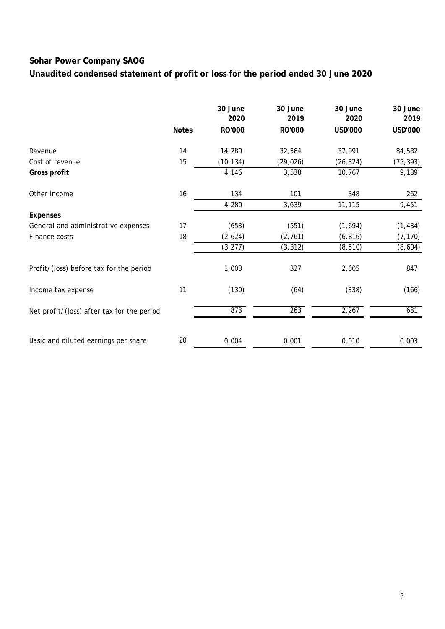**Unaudited condensed statement of profit or loss for the period ended 30 June 2020**

|                                            |              | 30 June<br>2020 | 30 June<br>2019 | 30 June<br>2020 | 30 June<br>2019 |
|--------------------------------------------|--------------|-----------------|-----------------|-----------------|-----------------|
|                                            | <b>Notes</b> | RO'000          | RO'000          | <b>USD'000</b>  | USD'000         |
| Revenue                                    | 14           | 14,280          | 32,564          | 37,091          | 84,582          |
| Cost of revenue                            | 15           | (10, 134)       | (29, 026)       | (26, 324)       | (75, 393)       |
| Gross profit                               |              | 4,146           | 3,538           | 10,767          | 9,189           |
| Other income                               | 16           | 134             | 101             | 348             | 262             |
|                                            |              | 4,280           | 3,639           | 11,115          | 9,451           |
| <b>Expenses</b>                            |              |                 |                 |                 |                 |
| General and administrative expenses        | 17           | (653)           | (551)           | (1,694)         | (1, 434)        |
| Finance costs                              | 18           | (2,624)         | (2, 761)        | (6, 816)        | (7, 170)        |
|                                            |              | (3, 277)        | (3, 312)        | (8, 510)        | (8,604)         |
| Profit/(loss) before tax for the period    |              | 1,003           | 327             | 2,605           | 847             |
| Income tax expense                         | 11           | (130)           | (64)            | (338)           | (166)           |
| Net profit/(loss) after tax for the period |              | 873             | 263             | 2,267           | 681             |
|                                            |              |                 |                 |                 |                 |
| Basic and diluted earnings per share       | 20           | 0.004           | 0.001           | 0.010           | 0.003           |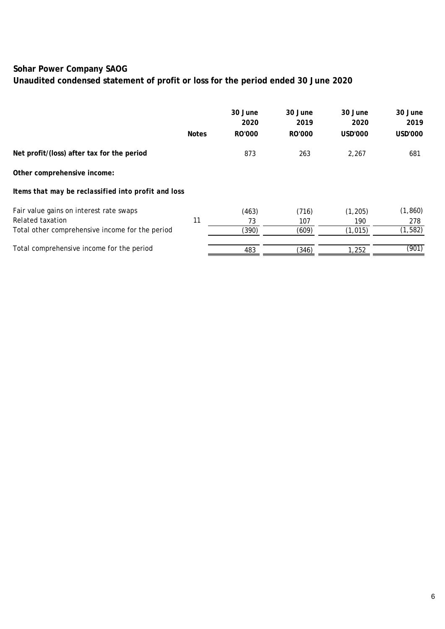**Unaudited condensed statement of profit or loss for the period ended 30 June 2020**

|                                                     |              | 30 June<br>2020 | 30 June<br>2019 | 30 June<br>2020 | 30 June<br>2019 |
|-----------------------------------------------------|--------------|-----------------|-----------------|-----------------|-----------------|
|                                                     | <b>Notes</b> | RO'000          | RO'000          | <b>USD'000</b>  | USD'000         |
| Net profit/(loss) after tax for the period          |              | 873             | 263             | 2,267           | 681             |
| Other comprehensive income:                         |              |                 |                 |                 |                 |
| Items that may be reclassified into profit and loss |              |                 |                 |                 |                 |
| Fair value gains on interest rate swaps             |              | (463)           | (716)           | (1, 205)        | (1, 860)        |
| Related taxation                                    | 11           | 73              | 107             | 190             | 278             |
| Total other comprehensive income for the period     |              | (390)           | (609)           | (1, 015)        | (1, 582)        |
| Total comprehensive income for the period           |              | 483             | (346)           | 1,252           | (901)           |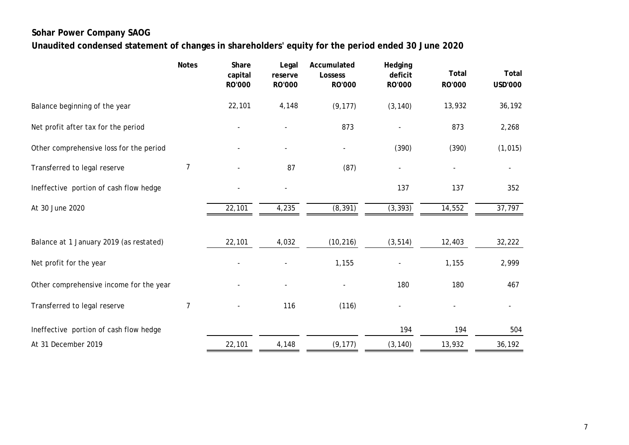# **Unaudited condensed statement of changes in shareholders' equity for the period ended 30 June 2020**

|                                         | <b>Notes</b> | Share<br>capital<br><b>RO'000</b> | Legal<br>reserve<br><b>RO'000</b> | Accumulated<br><b>Lossess</b><br><b>RO'000</b> | Hedging<br>deficit<br><b>RO'000</b> | Total<br><b>RO'000</b> | Total<br><b>USD'000</b> |
|-----------------------------------------|--------------|-----------------------------------|-----------------------------------|------------------------------------------------|-------------------------------------|------------------------|-------------------------|
| Balance beginning of the year           |              | 22,101                            | 4,148                             | (9, 177)                                       | (3, 140)                            | 13,932                 | 36,192                  |
| Net profit after tax for the period     |              |                                   |                                   | 873                                            |                                     | 873                    | 2,268                   |
| Other comprehensive loss for the period |              |                                   |                                   | $\blacksquare$                                 | (390)                               | (390)                  | (1, 015)                |
| Transferred to legal reserve            | 7            |                                   | 87                                | (87)                                           |                                     |                        |                         |
| Ineffective portion of cash flow hedge  |              |                                   |                                   |                                                | 137                                 | 137                    | 352                     |
| At 30 June 2020                         |              | 22,101                            | 4,235                             | (8, 391)                                       | (3, 393)                            | 14,552                 | 37,797                  |
|                                         |              |                                   |                                   |                                                |                                     |                        |                         |
| Balance at 1 January 2019 (as restated) |              | 22,101                            | 4,032                             | (10, 216)                                      | (3, 514)                            | 12,403                 | 32,222                  |
| Net profit for the year                 |              |                                   |                                   | 1,155                                          |                                     | 1,155                  | 2,999                   |
| Other comprehensive income for the year |              |                                   |                                   |                                                | 180                                 | 180                    | 467                     |
| Transferred to legal reserve            | 7            |                                   | 116                               | (116)                                          |                                     |                        |                         |
| Ineffective portion of cash flow hedge  |              |                                   |                                   |                                                | 194                                 | 194                    | 504                     |
| At 31 December 2019                     |              | 22,101                            | 4,148                             | (9, 177)                                       | (3, 140)                            | 13,932                 | 36,192                  |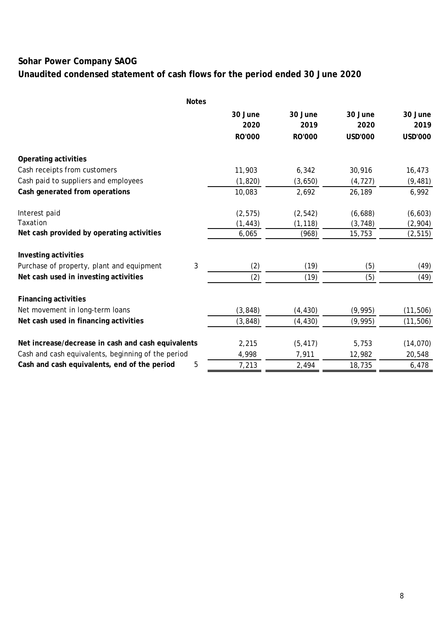# **Unaudited condensed statement of cash flows for the period ended 30 June 2020**

|                                                    | <b>Notes</b> |               |               |                |           |
|----------------------------------------------------|--------------|---------------|---------------|----------------|-----------|
|                                                    |              | 30 June       | 30 June       | 30 June        | 30 June   |
|                                                    |              | 2020          | 2019          | 2020           | 2019      |
|                                                    |              | <b>RO'000</b> | <b>RO'000</b> | <b>USD'000</b> | USD'000   |
| Operating activities                               |              |               |               |                |           |
| Cash receipts from customers                       |              | 11,903        | 6,342         | 30,916         | 16,473    |
| Cash paid to suppliers and employees               |              | (1, 820)      | (3,650)       | (4, 727)       | (9, 481)  |
| Cash generated from operations                     |              | 10,083        | 2,692         | 26,189         | 6,992     |
| Interest paid                                      |              | (2, 575)      | (2, 542)      | (6,688)        | (6, 603)  |
| Taxation                                           |              | (1, 443)      | (1, 118)      | (3, 748)       | (2,904)   |
| Net cash provided by operating activities          |              | 6,065         | (968)         | 15,753         | (2, 515)  |
| Investing activities                               |              |               |               |                |           |
| Purchase of property, plant and equipment          | 3            | (2)           | (19)          | (5)            | (49)      |
| Net cash used in investing activities              |              | (2)           | (19)          | (5)            | (49)      |
| <b>Financing activities</b>                        |              |               |               |                |           |
| Net movement in long-term loans                    |              | (3, 848)      | (4, 430)      | (9,995)        | (11, 506) |
| Net cash used in financing activities              |              | (3, 848)      | (4, 430)      | (9,995)        | (11, 506) |
| Net increase/decrease in cash and cash equivalents |              | 2,215         | (5, 417)      | 5,753          | (14, 070) |
| Cash and cash equivalents, beginning of the period |              | 4,998         | 7,911         | 12,982         | 20,548    |
| Cash and cash equivalents, end of the period       | 5            | 7,213         | 2,494         | 18,735         | 6,478     |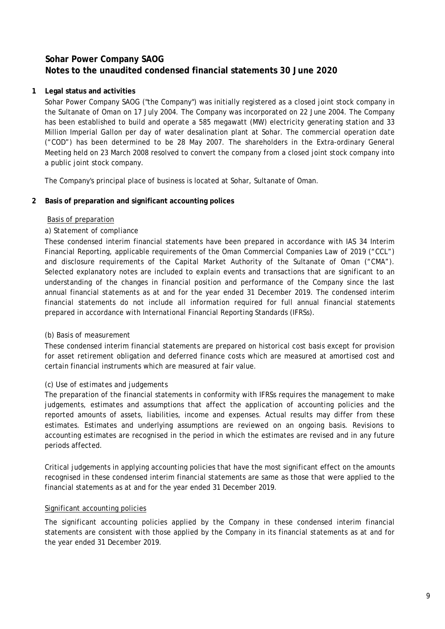### **1 Legal status and activities**

Sohar Power Company SAOG ("the Company") was initially registered as a closed joint stock company in the Sultanate of Oman on 17 July 2004. The Company was incorporated on 22 June 2004. The Company has been established to build and operate a 585 megawatt (MW) electricity generating station and 33 Million Imperial Gallon per day of water desalination plant at Sohar. The commercial operation date ("COD") has been determined to be 28 May 2007. The shareholders in the Extra-ordinary General Meeting held on 23 March 2008 resolved to convert the company from a closed joint stock company into a public joint stock company.

The Company's principal place of business is located at Sohar, Sultanate of Oman.

### **2 Basis of preparation and significant accounting polices**

#### Basis of preparation

### *a) Statement of compliance*

These condensed interim financial statements have been prepared in accordance with IAS 34 Interim Financial Reporting, applicable requirements of the Oman Commercial Companies Law of 2019 ("CCL") and disclosure requirements of the Capital Market Authority of the Sultanate of Oman ("CMA"). Selected explanatory notes are included to explain events and transactions that are significant to an understanding of the changes in financial position and performance of the Company since the last annual financial statements as at and for the year ended 31 December 2019. The condensed interim financial statements do not include all information required for full annual financial statements prepared in accordance with International Financial Reporting Standards (IFRSs).

### *(b) Basis of measurement*

These condensed interim financial statements are prepared on historical cost basis except for provision for asset retirement obligation and deferred finance costs which are measured at amortised cost and certain financial instruments which are measured at fair value.

### *(c) Use of estimates and judgements*

The preparation of the financial statements in conformity with IFRSs requires the management to make judgements, estimates and assumptions that affect the application of accounting policies and the reported amounts of assets, liabilities, income and expenses. Actual results may differ from these estimates. Estimates and underlying assumptions are reviewed on an ongoing basis. Revisions to accounting estimates are recognised in the period in which the estimates are revised and in any future periods affected.

Critical judgements in applying accounting policies that have the most significant effect on the amounts recognised in these condensed interim financial statements are same as those that were applied to the financial statements as at and for the year ended 31 December 2019.

### Significant accounting policies

The significant accounting policies applied by the Company in these condensed interim financial statements are consistent with those applied by the Company in its financial statements as at and for the year ended 31 December 2019.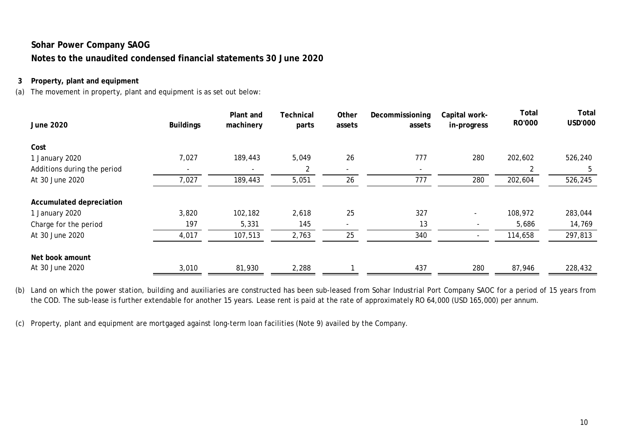### **3 Property, plant and equipment**

(a) The movement in property, plant and equipment is as set out below:

| <b>June 2020</b>            | <b>Buildings</b> | Plant and<br>machinery | Technical<br>parts | Other<br>assets          | Decommissioning<br>assets | Capital work-<br>in-progress | <b>Total</b><br><b>RO'000</b> | Total<br><b>USD'000</b> |
|-----------------------------|------------------|------------------------|--------------------|--------------------------|---------------------------|------------------------------|-------------------------------|-------------------------|
| Cost                        |                  |                        |                    |                          |                           |                              |                               |                         |
| 1 January 2020              | 7,027            | 189,443                | 5,049              | 26                       | 777                       | 280                          | 202,602                       | 526,240                 |
| Additions during the period |                  |                        | 2                  | $\overline{\phantom{0}}$ | $\overline{\phantom{a}}$  |                              | 2                             | 5                       |
| At 30 June 2020             | 7,027            | 189,443                | 5,051              | 26                       | 777                       | 280                          | 202,604                       | 526,245                 |
| Accumulated depreciation    |                  |                        |                    |                          |                           |                              |                               |                         |
| 1 January 2020              | 3,820            | 102,182                | 2,618              | 25                       | 327                       |                              | 108,972                       | 283,044                 |
| Charge for the period       | 197              | 5,331                  | 145                |                          | 13                        |                              | 5,686                         | 14,769                  |
| At 30 June 2020             | 4,017            | 107,513                | 2,763              | 25                       | 340                       | $\overline{\phantom{a}}$     | 114,658                       | 297,813                 |
| Net book amount             |                  |                        |                    |                          |                           |                              |                               |                         |
| At 30 June 2020             | 3,010            | 81,930                 | 2,288              |                          | 437                       | 280                          | 87,946                        | 228,432                 |

(b) Land on which the power station, building and auxiliaries are constructed has been sub-leased from Sohar Industrial Port Company SAOC for a period of 15 years from the COD. The sub-lease is further extendable for another 15 years. Lease rent is paid at the rate of approximately RO 64,000 (USD 165,000) per annum.

(c) Property, plant and equipment are mortgaged against long-term loan facilities (Note 9) availed by the Company.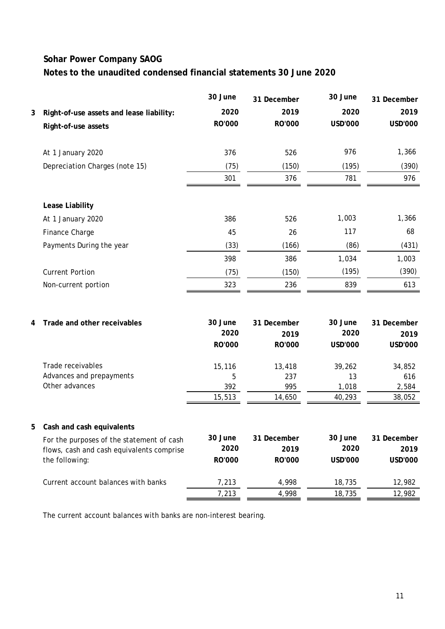|   |                                           | 30 June         | 31 December    | 30 June         | 31 December            |
|---|-------------------------------------------|-----------------|----------------|-----------------|------------------------|
| 3 | Right-of-use assets and lease liability:  | 2020            | 2019           | 2020            | 2019                   |
|   | Right-of-use assets                       | RO'000          | RO'000         | <b>USD'000</b>  | <b>USD'000</b>         |
|   | At 1 January 2020                         | 376             | 526            | 976             | 1,366                  |
|   | Depreciation Charges (note 15)            | (75)            | (150)          | (195)           | (390)                  |
|   |                                           | 301             | 376            | 781             | 976                    |
|   | Lease Liability                           |                 |                |                 |                        |
|   | At 1 January 2020                         | 386             | 526            | 1,003           | 1,366                  |
|   | Finance Charge                            | 45              | 26             | 117             | 68                     |
|   | Payments During the year                  | (33)            | (166)          | (86)            | (431)                  |
|   |                                           | 398             | 386            | 1,034           | 1,003                  |
|   | <b>Current Portion</b>                    | (75)            | (150)          | (195)           | (390)                  |
|   | Non-current portion                       | 323             | 236            | 839             | 613                    |
|   |                                           |                 |                |                 |                        |
| 4 | Trade and other receivables               | 30 June<br>2020 | 31 December    | 30 June<br>2020 | 31 December            |
|   |                                           | RO'000          | 2019<br>RO'000 | <b>USD'000</b>  | 2019<br><b>USD'000</b> |
|   | Trade receivables                         | 15,116          | 13,418         | 39,262          | 34,852                 |
|   | Advances and prepayments                  | 5               | 237            | 13              | 616                    |
|   | Other advances                            | 392<br>15,513   | 995<br>14,650  | 1,018<br>40,293 | 2,584<br>38,052        |
|   |                                           |                 |                |                 |                        |
|   | 5 Cash and cash equivalents               |                 |                |                 |                        |
|   | For the purposes of the statement of cash | 30 June         | 31 December    | 30 June         | 31 December            |
|   | flows, cash and cash equivalents comprise | 2020            | 2019           | 2020            | 2019                   |
|   | the following:                            | <b>RO'000</b>   | RO'000         | <b>USD'000</b>  | USD'000                |
|   | Current account balances with banks       | 7,213           | 4,998          | 18,735          | 12,982                 |
|   |                                           | 7,213           | 4,998          | 18,735          | 12,982                 |

The current account balances with banks are non-interest bearing.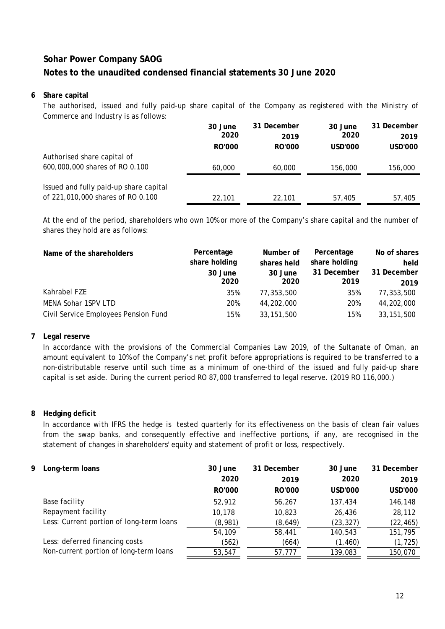### **6 Share capital**

The authorised, issued and fully paid-up share capital of the Company as registered with the Ministry of Commerce and Industry is as follows:

|                                        | 30 June       | 31 December   | 30 June | 31 December |
|----------------------------------------|---------------|---------------|---------|-------------|
|                                        | 2020          | 2019          | 2020    | 2019        |
|                                        | <b>RO'000</b> | <b>RO'000</b> | USD'000 | USD'000     |
| Authorised share capital of            |               |               |         |             |
| 600,000,000 shares of RO 0.100         | 60,000        | 60,000        | 156,000 | 156,000     |
|                                        |               |               |         |             |
| Issued and fully paid-up share capital |               |               |         |             |
| of 221,010,000 shares of RO 0.100      | 22,101        | 22,101        | 57,405  | 57,405      |

At the end of the period, shareholders who own 10% or more of the Company's share capital and the number of shares they hold are as follows:

| Name of the shareholders             | Percentage<br>share holding<br>30 June<br>2020 | Number of<br>shares held<br>30 June<br>2020 | Percentage<br>share holding<br>31 December<br>2019 | No of shares<br>held<br>31 December<br>2019 |
|--------------------------------------|------------------------------------------------|---------------------------------------------|----------------------------------------------------|---------------------------------------------|
| Kahrabel FZE                         | 35%                                            | 77,353,500                                  | 35%                                                | 77,353,500                                  |
| MENA Sohar 1SPV LTD                  | 20%                                            | 44,202,000                                  | 20%                                                | 44,202,000                                  |
| Civil Service Employees Pension Fund | 15%                                            | 33, 151, 500                                | 15%                                                | 33, 151, 500                                |

### **7 Legal reserve**

In accordance with the provisions of the Commercial Companies Law 2019, of the Sultanate of Oman, an amount equivalent to 10% of the Company's net profit before appropriations is required to be transferred to a non-distributable reserve until such time as a minimum of one-third of the issued and fully paid-up share capital is set aside. During the current period RO 87,000 transferred to legal reserve. (2019 RO 116,000.)

### **8 Hedging deficit**

In accordance with IFRS the hedge is tested quarterly for its effectiveness on the basis of clean fair values from the swap banks, and consequently effective and ineffective portions, if any, are recognised in the statement of changes in shareholders' equity and statement of profit or loss, respectively.

| 9 | Long-term loans                          | 30 June<br>2020<br><b>RO'000</b> | 31 December<br>2019<br>RO'000 | 30 June<br>2020<br>USD'000 | 31 December<br>2019<br>USD'000 |
|---|------------------------------------------|----------------------------------|-------------------------------|----------------------------|--------------------------------|
|   | Base facility                            | 52,912                           | 56,267                        | 137,434                    | 146,148                        |
|   | Repayment facility                       | 10.178                           | 10,823                        | 26,436                     | 28,112                         |
|   | Less: Current portion of long-term loans | (8,981)                          | (8,649)                       | (23, 327)                  | (22, 465)                      |
|   |                                          | 54,109                           | 58,441                        | 140,543                    | 151,795                        |
|   | Less: deferred financing costs           | (562)                            | (664)                         | (1, 460)                   | (1, 725)                       |
|   | Non-current portion of long-term loans   | 53,547                           | 57,777                        | 139,083                    | 150,070                        |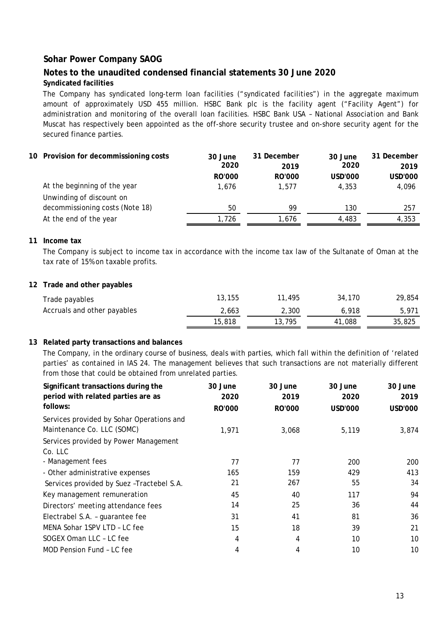## **Notes to the unaudited condensed financial statements 30 June 2020**

### **Syndicated facilities**

The Company has syndicated long-term loan facilities ("syndicated facilities") in the aggregate maximum amount of approximately USD 455 million. HSBC Bank plc is the facility agent ("Facility Agent") for administration and monitoring of the overall loan facilities. HSBC Bank USA – National Association and Bank Muscat has respectively been appointed as the off-shore security trustee and on-shore security agent for the secured finance parties.

#### **10 Provision for decommissioning costs 30 June 31 December 30 June 31 December 2020 2019 2020 2019 RO'000 RO'000 USD'000 USD'000** At the beginning of the year 1,676 1,676 1,577 4,353 4,096 50 99 130 257 Unwinding of discount on decommissioning costs (Note 18)

#### **11 Income tax**

The Company is subject to income tax in accordance with the income tax law of the Sultanate of Oman at the tax rate of 15% on taxable profits.

At the end of the year 1,726 1,726 1,676 4,483 4,353

#### **12 Trade and other payables**

| Trade payables              | 13,155 | 11,495 | 34,170 | 29,854 |
|-----------------------------|--------|--------|--------|--------|
| Accruals and other payables | 2,663  | 2,300  | 6.918  | 5.971  |
|                             | 15,818 | 13,795 | 41,088 | 35,825 |

#### **13 Related party transactions and balances**

The Company, in the ordinary course of business, deals with parties, which fall within the definition of 'related parties' as contained in IAS 24. The management believes that such transactions are not materially different from those that could be obtained from unrelated parties.

| Significant transactions during the<br>period with related parties are as<br>follows: | 30 June<br>2020<br><b>RO'000</b> | 30 June<br>2019<br><b>RO'000</b> | 30 June<br>2020<br><b>USD'000</b> | 30 June<br>2019<br>USD'000 |
|---------------------------------------------------------------------------------------|----------------------------------|----------------------------------|-----------------------------------|----------------------------|
| Services provided by Sohar Operations and<br>Maintenance Co. LLC (SOMC)               | 1,971                            | 3,068                            | 5,119                             | 3,874                      |
| Services provided by Power Management<br>Co. LLC                                      |                                  |                                  |                                   |                            |
| - Management fees                                                                     | 77                               | 77                               | 200                               | 200                        |
| - Other administrative expenses                                                       | 165                              | 159                              | 429                               | 413                        |
| Services provided by Suez - Tractebel S.A.                                            | 21                               | 267                              | 55                                | 34                         |
| Key management remuneration                                                           | 45                               | 40                               | 117                               | 94                         |
| Directors' meeting attendance fees                                                    | 14                               | 25                               | 36                                | 44                         |
| Electrabel S.A. - guarantee fee                                                       | 31                               | 41                               | 81                                | 36                         |
| MENA Sohar 1SPV LTD - LC fee                                                          | 15                               | 18                               | 39                                | 21                         |
| SOGEX Oman LLC - LC fee                                                               | 4                                | 4                                | 10                                | 10                         |
| MOD Pension Fund - LC fee                                                             | 4                                | 4                                | 10                                | 10                         |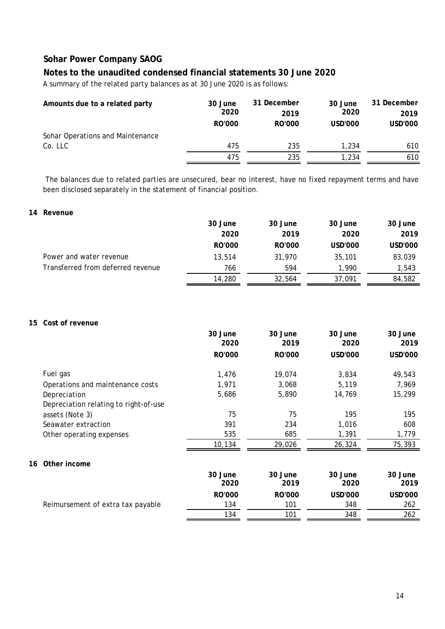### **Notes to the unaudited condensed financial statements 30 June 2020**

A summary of the related party balances as at 30 June 2020 is as follows:

| Amounts due to a related party   | 30 June<br>2020 | 31 December<br>2019 | 30 June<br>2020 | 31 December<br>2019 |
|----------------------------------|-----------------|---------------------|-----------------|---------------------|
|                                  | <b>RO'000</b>   | <b>RO'000</b>       | USD'000         | USD'000             |
| Sohar Operations and Maintenance |                 |                     |                 |                     |
| Co. LLC                          | 475             | 235                 | 1,234           | 610                 |
|                                  | 475             | 235                 | 1,234           | 610                 |

The balances due to related parties are unsecured, bear no interest, have no fixed repayment terms and have been disclosed separately in the statement of financial position.

#### **14 Revenue**

|                                   | 30 June       | 30 June       | 30 June | 30 June |
|-----------------------------------|---------------|---------------|---------|---------|
|                                   | 2020          | 2019          | 2020    | 2019    |
|                                   | <b>RO'000</b> | <b>RO'000</b> | USD'000 | USD'000 |
| Power and water revenue           | 13,514        | 31,970        | 35,101  | 83,039  |
| Transferred from deferred revenue | 766           | 594           | 1,990   | 1,543   |
|                                   | 14,280        | 32,564        | 37,091  | 84,582  |

#### **15 Cost of revenue**

|    |                                       | 30 June         | 30 June         | 30 June         | 30 June         |
|----|---------------------------------------|-----------------|-----------------|-----------------|-----------------|
|    |                                       | 2020            | 2019            | 2020            | 2019            |
|    |                                       | RO'000          | <b>RO'000</b>   | <b>USD'000</b>  | USD'000         |
|    | Fuel gas                              | 1,476           | 19,074          | 3,834           | 49,543          |
|    | Operations and maintenance costs      | 1,971           | 3,068           | 5,119           | 7,969           |
|    | Depreciation                          | 5,686           | 5,890           | 14,769          | 15,299          |
|    | Depreciation relating to right-of-use |                 |                 |                 |                 |
|    | assets (Note 3)                       | 75              | 75              | 195             | 195             |
|    | Seawater extraction                   | 391             | 234             | 1,016           | 608             |
|    | Other operating expenses              | 535             | 685             | 1,391           | 1,779           |
|    |                                       | 10,134          | 29,026          | 26,324          | 75,393          |
| 16 | Other income                          |                 |                 |                 |                 |
|    |                                       | 30 June<br>2020 | 30 June<br>2019 | 30 June<br>2020 | 30 June<br>2019 |
|    |                                       | <b>RO'000</b>   | <b>RO'000</b>   | <b>USD'000</b>  | <b>USD'000</b>  |
|    | Reimursement of extra tax payable     | 134             | 101             | 348             | 262             |
|    |                                       | 134             | 101             | 348             | 262             |
|    |                                       |                 |                 |                 |                 |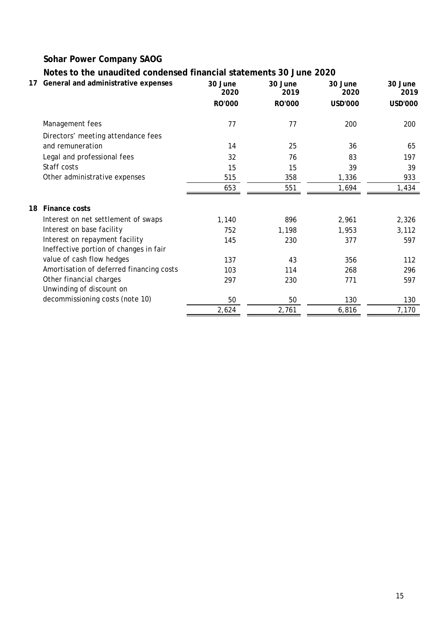# **Notes to the unaudited condensed financial statements 30 June 2020**

| 17 | General and administrative expenses      | 30 June<br>2020 | 30 June<br>2019 | 30 June<br>2020 | 30 June<br>2019 |
|----|------------------------------------------|-----------------|-----------------|-----------------|-----------------|
|    |                                          | RO'000          | RO'000          | <b>USD'000</b>  | USD'000         |
|    | Management fees                          | 77              | 77              | 200             | 200             |
|    | Directors' meeting attendance fees       |                 |                 |                 |                 |
|    | and remuneration                         | 14              | 25              | 36              | 65              |
|    | Legal and professional fees              | 32              | 76              | 83              | 197             |
|    | Staff costs                              | 15              | 15              | 39              | 39              |
|    | Other administrative expenses            | 515             | 358             | 1,336           | 933             |
|    |                                          | 653             | 551             | 1,694           | 1,434           |
| 18 | <b>Finance costs</b>                     |                 |                 |                 |                 |
|    | Interest on net settlement of swaps      | 1,140           | 896             | 2,961           | 2,326           |
|    | Interest on base facility                | 752             | 1,198           | 1,953           | 3,112           |
|    | Interest on repayment facility           | 145             | 230             | 377             | 597             |
|    | Ineffective portion of changes in fair   |                 |                 |                 |                 |
|    | value of cash flow hedges                | 137             | 43              | 356             | 112             |
|    | Amortisation of deferred financing costs | 103             | 114             | 268             | 296             |
|    | Other financial charges                  | 297             | 230             | 771             | 597             |
|    | Unwinding of discount on                 |                 |                 |                 |                 |
|    | decommissioning costs (note 10)          | 50              | 50              | 130             | 130             |
|    |                                          | 2,624           | 2,761           | 6,816           | 7,170           |